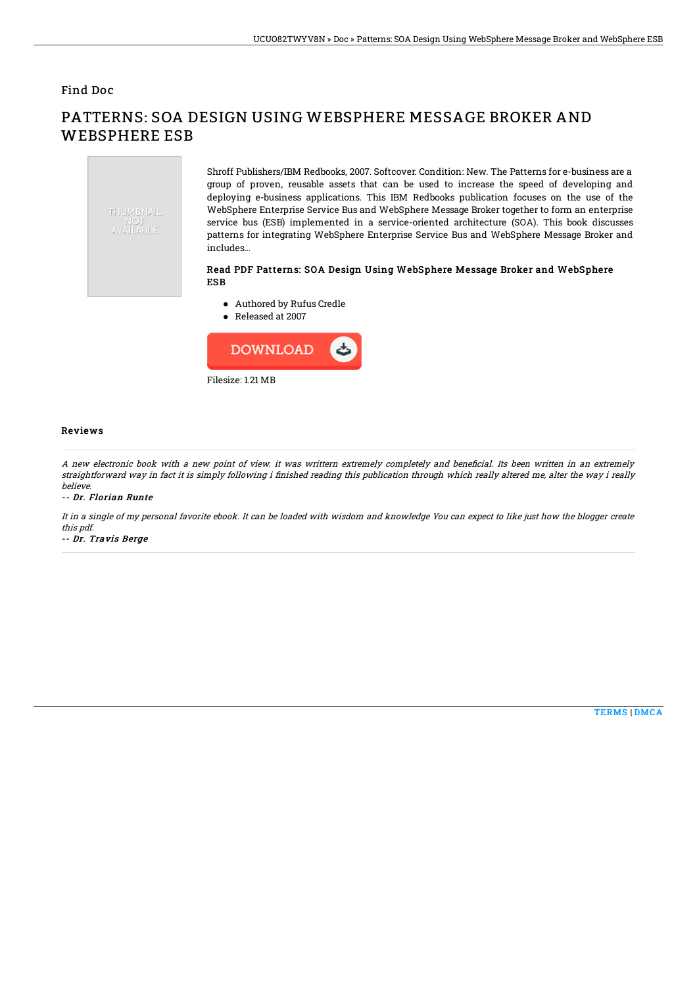## Find Doc



PATTERNS: SOA DESIGN USING WEBSPHERE MESSAGE BROKER AND WEBSPHERE ESB

> Shroff Publishers/IBM Redbooks, 2007. Softcover. Condition: New. The Patterns for e-business are a group of proven, reusable assets that can be used to increase the speed of developing and deploying e-business applications. This IBM Redbooks publication focuses on the use of the WebSphere Enterprise Service Bus and WebSphere Message Broker together to form an enterprise service bus (ESB) implemented in a service-oriented architecture (SOA). This book discusses patterns for integrating WebSphere Enterprise Service Bus and WebSphere Message Broker and includes...

## Read PDF Patterns: SOA Design Using WebSphere Message Broker and WebSphere ESB

- Authored by Rufus Credle
- Released at 2007



## Reviews

A new electronic book with a new point of view. it was writtern extremely completely and beneficial. Its been written in an extremely straightforward way in fact it is simply following i finished reading this publication through which really altered me, alter the way i really believe.

-- Dr. Florian Runte

It in <sup>a</sup> single of my personal favorite ebook. It can be loaded with wisdom and knowledge You can expect to like just how the blogger create this pdf.

-- Dr. Travis Berge